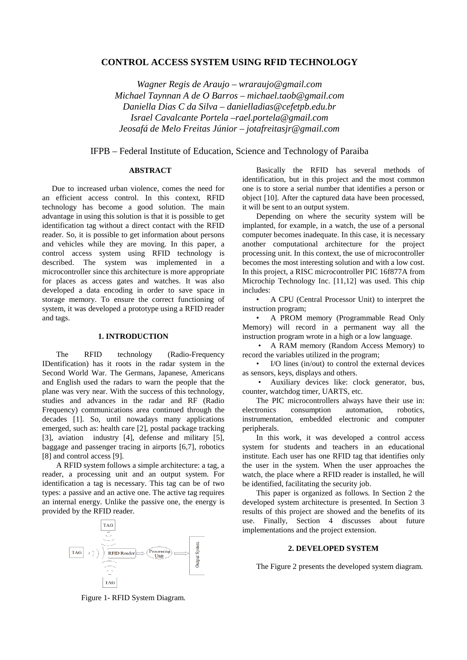# **CONTROL ACCESS SYSTEM USING RFID TECHNOLOGY**

*Wagner Regis de Araujo – wraraujo@gmail.com Michael Taynnan A de O Barros – michael.taob@gmail.com Daniella Dias C da Silva – danielladias@cefetpb.edu.br Israel Cavalcante Portela –rael.portela@gmail.com Jeosafá de Melo Freitas Júnior – jotafreitasjr@gmail.com*

IFPB – Federal Institute of Education, Science and Technology of Paraiba

### **ABSTRACT**

Due to increased urban violence, comes the need for an efficient access control. In this context, RFID technology has become a good solution. The main advantage in using this solution is that it is possible to get identification tag without a direct contact with the RFID reader. So, it is possible to get information about persons and vehicles while they are moving. In this paper, a control access system using RFID technology is described. The system was implemented in a microcontroller since this architecture is more appropriate for places as access gates and watches. It was also developed a data encoding in order to save space in storage memory. To ensure the correct functioning of system, it was developed a prototype using a RFID reader and tags.

#### **1. INTRODUCTION**

The RFID technology (Radio-Frequency IDentification) has it roots in the radar system in the Second World War. The Germans, Japanese, Americans and English used the radars to warn the people that the plane was very near. With the success of this technology, studies and advances in the radar and RF (Radio Frequency) communications area continued through the decades [1]. So, until nowadays many applications emerged, such as: health care [2], postal package tracking [3], aviation industry [4], defense and military [5], baggage and passenger tracing in airports [6,7], robotics [8] and control access [9].

A RFID system follows a simple architecture: a tag, a reader, a processing unit and an output system. For identification a tag is necessary. This tag can be of two types: a passive and an active one. The active tag requires an internal energy. Unlike the passive one, the energy is provided by the RFID reader.



Basically the RFID has several methods of identification, but in this project and the most common one is to store a serial number that identifies a person or object [10]. After the captured data have been processed, it will be sent to an output system.

Depending on where the security system will be implanted, for example, in a watch, the use of a personal computer becomes inadequate. In this case, it is necessary another computational architecture for the project processing unit. In this context, the use of microcontroller becomes the most interesting solution and with a low cost. In this project, a RISC microcontroller PIC 16f877A from Microchip Technology Inc. [11,12] was used. This chip includes:

• A CPU (Central Processor Unit) to interpret the instruction program;

• A PROM memory (Programmable Read Only Memory) will record in a permanent way all the instruction program wrote in a high or a low language.

• A RAM memory (Random Access Memory) to record the variables utilized in the program;

• I/O lines (in/out) to control the external devices as sensors, keys, displays and others.

• Auxiliary devices like: clock generator, bus, counter, watchdog timer, UARTS, etc.

The PIC microcontrollers always have their use in:<br>tronics consumption automation, robotics, electronics consumption automation, instrumentation, embedded electronic and computer peripherals.

In this work, it was developed a control access system for students and teachers in an educational institute. Each user has one RFID tag that identifies only the user in the system. When the user approaches the watch, the place where a RFID reader is installed, he will be identified, facilitating the security job.

This paper is organized as follows. In Section 2 the developed system architecture is presented. In Section 3 results of this project are showed and the benefits of its use. Finally, Section 4 discusses about future implementations and the project extension.

## **2. DEVELOPED SYSTEM**

The Figure 2 presents the developed system diagram.

Figure 1- RFID System Diagram.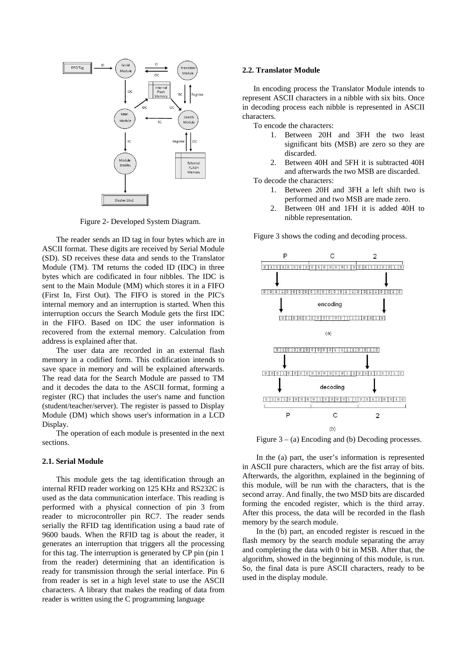

Figure 2- Developed System Diagram.

The reader sends an ID tag in four bytes which are in ASCII format. These digits are received by Serial Module (SD). SD receives these data and sends to the Translator Module (TM). TM returns the coded ID (IDC) in three bytes which are codificated in four nibbles. The IDC is sent to the Main Module (MM) which stores it in a FIFO (First In, First Out). The FIFO is stored in the PIC's internal memory and an interruption is started. When this interruption occurs the Search Module gets the first IDC in the FIFO. Based on IDC the user information is recovered from the external memory. Calculation from address is explained after that.

The user data are recorded in an external flash memory in a codified form. This codification intends to save space in memory and will be explained afterwards. The read data for the Search Module are passed to TM and it decodes the data to the ASCII format, forming a register (RC) that includes the user's name and function (student/teacher/server). The register is passed to Display Module (DM) which shows user's information in a LCD Display.

The operation of each module is presented in the next sections.

#### **2.1. Serial Module**

This module gets the tag identification through an internal RFID reader working on 125 KHz and RS232C is used as the data communication interface. This reading is performed with a physical connection of pin 3 from reader to microcontroller pin RC7. The reader sends serially the RFID tag identification using a baud rate of 9600 bauds. When the RFID tag is about the reader, it generates an interruption that triggers all the processing for this tag. The interruption is generated by CP pin (pin 1 from the reader) determining that an identification is ready for transmission through the serial interface. Pin 6 from reader is set in a high level state to use the ASCII characters. A library that makes the reading of data from reader is written using the C programming language

#### **2.2. Translator Module**

In encoding process the Translator Module intends to represent ASCII characters in a nibble with six bits. Once in decoding process each nibble is represented in ASCII characters.

To encode the characters:

- 1. Between 20H and 3FH the two least significant bits (MSB) are zero so they are discarded.
- 2. Between 40H and 5FH it is subtracted 40H and afterwards the two MSB are discarded.

To decode the characters:

- 1. Between 20H and 3FH a left shift two is performed and two MSB are made zero.
- 2. Between 0H and 1FH it is added 40H to nibble representation.

Figure 3 shows the coding and decoding process.



Figure  $3 - (a)$  Encoding and (b) Decoding processes.

In the (a) part, the user's information is represented in ASCII pure characters, which are the fist array of bits. Afterwards, the algorithm, explained in the beginning of this module, will be run with the characters, that is the second array. And finally, the two MSD bits are discarded forming the encoded register, which is the third array. After this process, the data will be recorded in the flash memory by the search module.

In the (b) part, an encoded register is rescued in the flash memory by the search module separating the array and completing the data with 0 bit in MSB. After that, the algorithm, showed in the beginning of this module, is run. So, the final data is pure ASCII characters, ready to be used in the display module.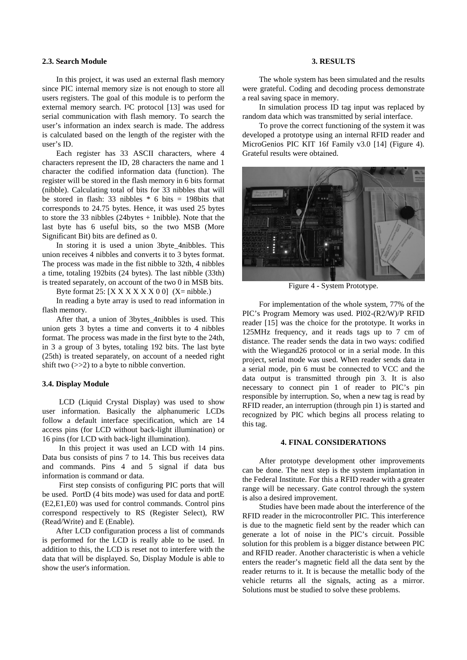### **2.3. Search Module**

In this project, it was used an external flash memory since PIC internal memory size is not enough to store all users registers. The goal of this module is to perform the external memory search. I²C protocol [13] was used for serial communication with flash memory. To search the user's information an index search is made. The address is calculated based on the length of the register with the user's ID.

Each register has 33 ASCII characters, where 4 characters represent the ID, 28 characters the name and 1 character the codified information data (function). The register will be stored in the flash memory in 6 bits format (nibble). Calculating total of bits for 33 nibbles that will be stored in flash: 33 nibbles  $*$  6 bits = 198bits that corresponds to 24.75 bytes. Hence, it was used 25 bytes to store the 33 nibbles (24bytes + 1nibble). Note that the last byte has 6 useful bits, so the two MSB (More Significant Bit) bits are defined as 0.

In storing it is used a union 3byte\_4nibbles. This union receives 4 nibbles and converts it to 3 bytes format. The process was made in the fist nibble to 32th, 4 nibbles a time, totaling 192bits (24 bytes). The last nibble (33th) is treated separately, on account of the two 0 in MSB bits.

Byte format 25:  $[**X X X X X X 0 0**] (**X**=**n**ibble.)$ 

In reading a byte array is used to read information in flash memory.

After that, a union of 3bytes\_4nibbles is used. This union gets 3 bytes a time and converts it to 4 nibbles format. The process was made in the first byte to the 24th, in 3 a group of 3 bytes, totaling 192 bits. The last byte (25th) is treated separately, on account of a needed right shift two (>>2) to a byte to nibble convertion.

# **3.4. Display Module**

LCD (Liquid Crystal Display) was used to show user information. Basically the alphanumeric LCDs follow a default interface specification, which are 14 access pins (for LCD without back-light illumination) or 16 pins (for LCD with back-light illumination).

In this project it was used an LCD with 14 pins. Data bus consists of pins 7 to 14. This bus receives data and commands. Pins 4 and 5 signal if data bus information is command or data.

First step consists of configuring PIC ports that will be used. PortD (4 bits mode) was used for data and portE (E2,E1,E0) was used for control commands. Control pins correspond respectively to RS (Register Select), RW (Read/Write) and E (Enable).

 After LCD configuration process a list of commands is performed for the LCD is really able to be used. In addition to this, the LCD is reset not to interfere with the data that will be displayed. So, Display Module is able to show the user's information.

### **3. RESULTS**

The whole system has been simulated and the results were grateful. Coding and decoding process demonstrate a real saving space in memory.

In simulation process ID tag input was replaced by random data which was transmitted by serial interface.

To prove the correct functioning of the system it was developed a prototype using an internal RFID reader and MicroGenios PIC KIT 16f Family v3.0 [14] (Figure 4). Grateful results were obtained.



Figure 4 - System Prototype.

For implementation of the whole system, 77% of the PIC's Program Memory was used. PI02-(R2/W)/P RFID reader [15] was the choice for the prototype. It works in 125MHz frequency, and it reads tags up to 7 cm of distance. The reader sends the data in two ways: codified with the Wiegand26 protocol or in a serial mode. In this project, serial mode was used. When reader sends data in a serial mode, pin 6 must be connected to VCC and the data output is transmitted through pin 3. It is also necessary to connect pin 1 of reader to PIC's pin responsible by interruption. So, when a new tag is read by RFID reader, an interruption (through pin 1) is started and recognized by PIC which begins all process relating to this tag.

### **4. FINAL CONSIDERATIONS**

After prototype development other improvements can be done. The next step is the system implantation in the Federal Institute. For this a RFID reader with a greater range will be necessary. Gate control through the system is also a desired improvement.

Studies have been made about the interference of the RFID reader in the microcontroller PIC. This interference is due to the magnetic field sent by the reader which can generate a lot of noise in the PIC's circuit. Possible solution for this problem is a bigger distance between PIC and RFID reader. Another characteristic is when a vehicle enters the reader's magnetic field all the data sent by the reader returns to it. It is because the metallic body of the vehicle returns all the signals, acting as a mirror. Solutions must be studied to solve these problems.